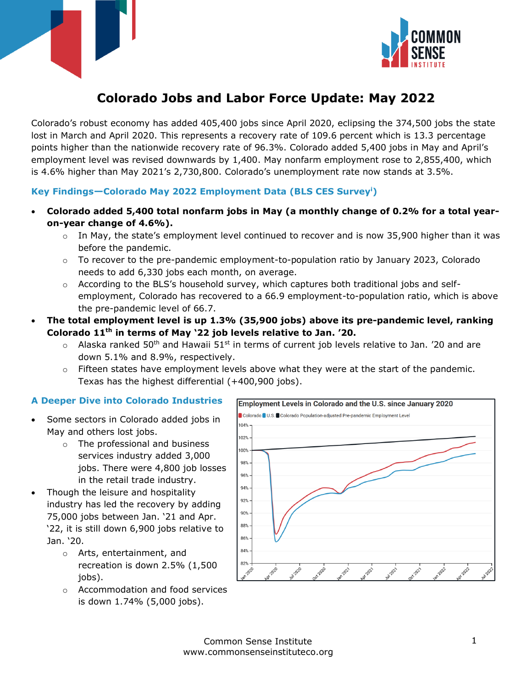



# **Colorado Jobs and Labor Force Update: May 2022**

Colorado's robust economy has added 405,400 jobs since April 2020, eclipsing the 374,500 jobs the state lost in March and April 2020. This represents a recovery rate of 109.6 percent which is 13.3 percentage points higher than the nationwide recovery rate of 96.3%. Colorado added 5,400 jobs in May and April's employment level was revised downwards by 1,400. May nonfarm employment rose to 2,855,400, which is 4.6% higher than May 2021's 2,730,800. Colorado's unemployment rate now stands at 3.5%.

## **Key Findings—Colorado May 2022 Employment Data (BLS CES Survey<sup>i</sup>)**

- **Colorado added 5,400 total nonfarm jobs in May (a monthly change of 0.2% for a total yearon-year change of 4.6%).**
	- $\circ$  In May, the state's employment level continued to recover and is now 35,900 higher than it was before the pandemic.
	- $\circ$  To recover to the pre-pandemic employment-to-population ratio by January 2023, Colorado needs to add 6,330 jobs each month, on average.
	- $\circ$  According to the BLS's household survey, which captures both traditional jobs and selfemployment, Colorado has recovered to a 66.9 employment-to-population ratio, which is above the pre-pandemic level of 66.7.
- **The total employment level is up 1.3% (35,900 jobs) above its pre-pandemic level, ranking Colorado 11th in terms of May '22 job levels relative to Jan. '20.**
	- $\circ$  Alaska ranked 50<sup>th</sup> and Hawaii 51<sup>st</sup> in terms of current job levels relative to Jan. '20 and are down 5.1% and 8.9%, respectively.
	- $\circ$  Fifteen states have employment levels above what they were at the start of the pandemic. Texas has the highest differential (+400,900 jobs).

### **A Deeper Dive into Colorado Industries**

- Some sectors in Colorado added jobs in May and others lost jobs.
	- o The professional and business services industry added 3,000 jobs. There were 4,800 job losses in the retail trade industry.
- Though the leisure and hospitality industry has led the recovery by adding 75,000 jobs between Jan. '21 and Apr. '22, it is still down 6,900 jobs relative to Jan. '20.
	- o Arts, entertainment, and recreation is down 2.5% (1,500 jobs).
	- o Accommodation and food services is down 1.74% (5,000 jobs).